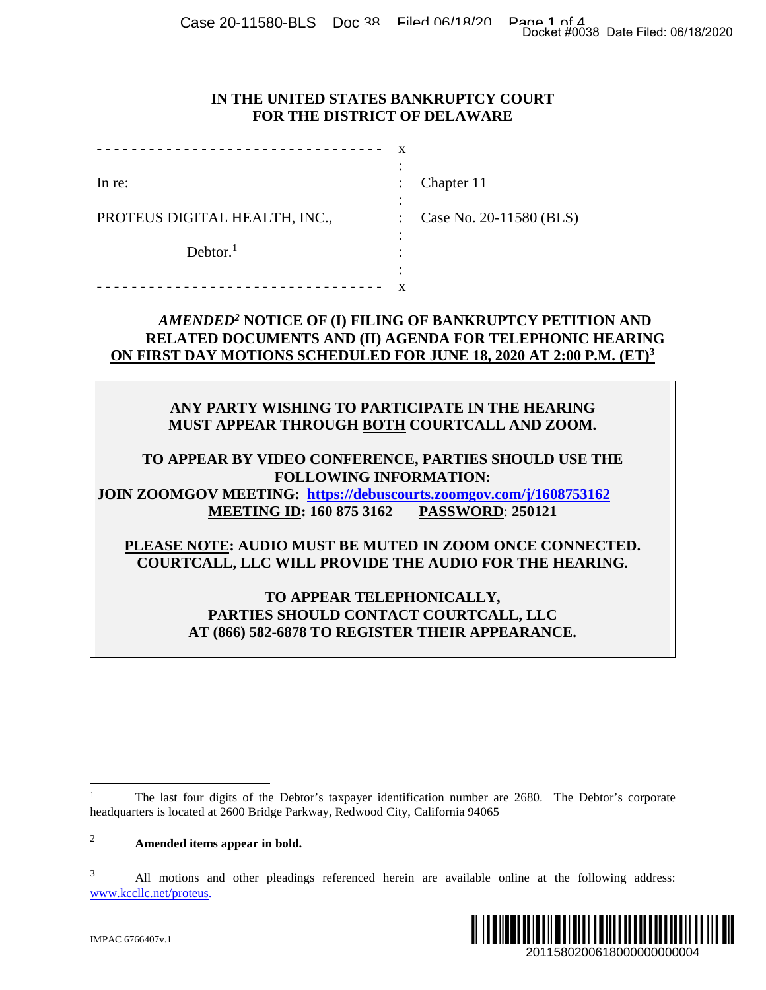Case 20-11580-BLS Doc 38 Filed 06/18/20 Page 1 of 4<br>Docket #0038 Date Filed: 06/18/2020

## **IN THE UNITED STATES BANKRUPTCY COURT FOR THE DISTRICT OF DELAWARE**

|                                                                                | Docket #0038 Date Filed: 06/18/2020                                                                                                                                                                                                                                                                                                                                                              |
|--------------------------------------------------------------------------------|--------------------------------------------------------------------------------------------------------------------------------------------------------------------------------------------------------------------------------------------------------------------------------------------------------------------------------------------------------------------------------------------------|
| IN THE UNITED STATES BANKRUPTCY COURT<br>FOR THE DISTRICT OF DELAWARE          |                                                                                                                                                                                                                                                                                                                                                                                                  |
|                                                                                | X                                                                                                                                                                                                                                                                                                                                                                                                |
| In re:                                                                         | Chapter 11                                                                                                                                                                                                                                                                                                                                                                                       |
| PROTEUS DIGITAL HEALTH, INC.,                                                  | Case No. 20-11580 (BLS)                                                                                                                                                                                                                                                                                                                                                                          |
| Dektor. <sup>1</sup>                                                           |                                                                                                                                                                                                                                                                                                                                                                                                  |
|                                                                                | AMENDED <sup>2</sup> NOTICE OF (I) FILING OF BANKRUPTCY PETITION AND<br>RELATED DOCUMENTS AND (II) AGENDA FOR TELEPHONIC HEARING<br>ON FIRST DAY MOTIONS SCHEDULED FOR JUNE 18, 2020 AT 2:00 P.M. (ET) <sup>3</sup>                                                                                                                                                                              |
| JOIN ZOOMGOV MEETING: https://debuscourts.zoomgov.com/j/1608753162             | ANY PARTY WISHING TO PARTICIPATE IN THE HEARING<br>MUST APPEAR THROUGH BOTH COURTCALL AND ZOOM.<br>TO APPEAR BY VIDEO CONFERENCE, PARTIES SHOULD USE THE<br><b>FOLLOWING INFORMATION:</b><br><b>MEETING ID: 160 875 3162 PASSWORD: 250121</b><br>PLEASE NOTE: AUDIO MUST BE MUTED IN ZOOM ONCE CONNECTED.<br>COURTCALL, LLC WILL PROVIDE THE AUDIO FOR THE HEARING.<br>TO APPEAR TELEPHONICALLY, |
|                                                                                | PARTIES SHOULD CONTACT COURTCALL, LLC<br>AT (866) 582-6878 TO REGISTER THEIR APPEARANCE.                                                                                                                                                                                                                                                                                                         |
| neadquarters is located at 2600 Bridge Parkway, Redwood City, California 94065 | The last four digits of the Debtor's taxpayer identification number are 2680. The Debtor's corporate                                                                                                                                                                                                                                                                                             |
| Amended items appear in bold.                                                  |                                                                                                                                                                                                                                                                                                                                                                                                  |
| www.kccllc.net/proteus.                                                        | All motions and other pleadings referenced herein are available online at the following address:                                                                                                                                                                                                                                                                                                 |
| MPAC 6766407v.1                                                                | IIII<br>2011580200618000000000004                                                                                                                                                                                                                                                                                                                                                                |

## *AMENDED<sup>2</sup>* **NOTICE OF (I) FILING OF BANKRUPTCY PETITION AND RELATED DOCUMENTS AND (II) AGENDA FOR TELEPHONIC HEARING ON FIRST DAY MOTIONS SCHEDULED FOR JUNE 18, 2020 AT 2:00 P.M. (ET)<sup>3</sup>**

# **ANY PARTY WISHING TO PARTICIPATE IN THE HEARING MUST APPEAR THROUGH BOTH COURTCALL AND ZOOM.**

# **PLEASE NOTE: AUDIO MUST BE MUTED IN ZOOM ONCE CONNECTED. COURTCALL, LLC WILL PROVIDE THE AUDIO FOR THE HEARING.**

## **TO APPEAR TELEPHONICALLY, PARTIES SHOULD CONTACT COURTCALL, LLC AT (866) 582-6878 TO REGISTER THEIR APPEARANCE.**

<sup>&</sup>lt;sup>3</sup> All motions and other pleadings referenced herein are available online at the following address: www.kccllc.net/proteus.



The last four digits of the Debtor's taxpayer identification number are 2680. The Debtor's corporate headquarters is located at 2600 Bridge Parkway, Redwood City, California 94065

<sup>2</sup> **Amended items appear in bold.**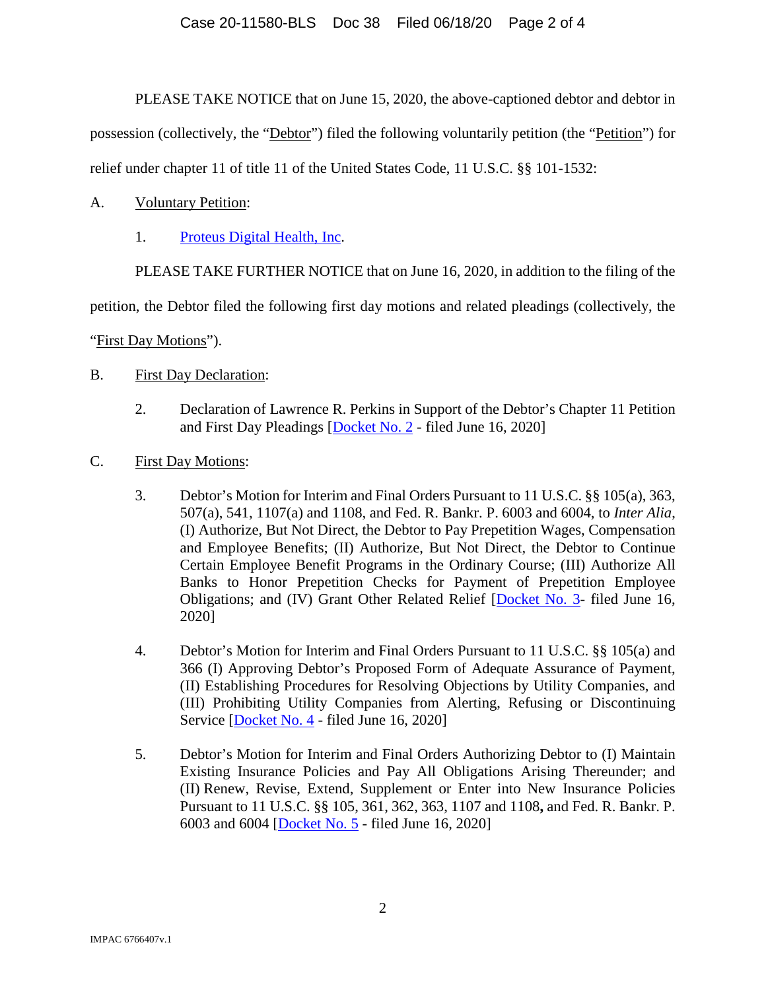## Case 20-11580-BLS Doc 38 Filed 06/18/20 Page 2 of 4

PLEASE TAKE NOTICE that on June 15, 2020, the above-captioned debtor and debtor in

possession (collectively, the "Debtor") filed the following voluntarily petition (the "Petition") for

relief under chapter 11 of title 11 of the United States Code, 11 U.S.C. §§ 101-1532:

- A. Voluntary Petition:
	- 1. Proteus Digital Health, Inc.

PLEASE TAKE FURTHER NOTICE that on June 16, 2020, in addition to the filing of the

petition, the Debtor filed the following first day motions and related pleadings (collectively, the

"First Day Motions").

- B. First Day Declaration:
	- 2. Declaration of Lawrence R. Perkins in Support of the Debtor's Chapter 11 Petition and First Day Pleadings [Docket No. 2 - filed June 16, 2020]
- C. First Day Motions:
	- 3. Debtor's Motion for Interim and Final Orders Pursuant to 11 U.S.C. §§ 105(a), 363, 507(a), 541, 1107(a) and 1108, and Fed. R. Bankr. P. 6003 and 6004, to *Inter Alia*, (I) Authorize, But Not Direct, the Debtor to Pay Prepetition Wages, Compensation and Employee Benefits; (II) Authorize, But Not Direct, the Debtor to Continue Certain Employee Benefit Programs in the Ordinary Course; (III) Authorize All Banks to Honor Prepetition Checks for Payment of Prepetition Employee Obligations; and (IV) Grant Other Related Relief [Docket No. 3- filed June 16, 2020]
	- 4. Debtor's Motion for Interim and Final Orders Pursuant to 11 U.S.C. §§ 105(a) and 366 (I) Approving Debtor's Proposed Form of Adequate Assurance of Payment, (II) Establishing Procedures for Resolving Objections by Utility Companies, and (III) Prohibiting Utility Companies from Alerting, Refusing or Discontinuing Service [Docket No. 4 - filed June 16, 2020]
	- 5. Debtor's Motion for Interim and Final Orders Authorizing Debtor to (I) Maintain Existing Insurance Policies and Pay All Obligations Arising Thereunder; and (II) Renew, Revise, Extend, Supplement or Enter into New Insurance Policies Pursuant to 11 U.S.C. §§ 105, 361, 362, 363, 1107 and 1108**,** and Fed. R. Bankr. P. 6003 and 6004 [Docket No. 5 - filed June 16, 2020]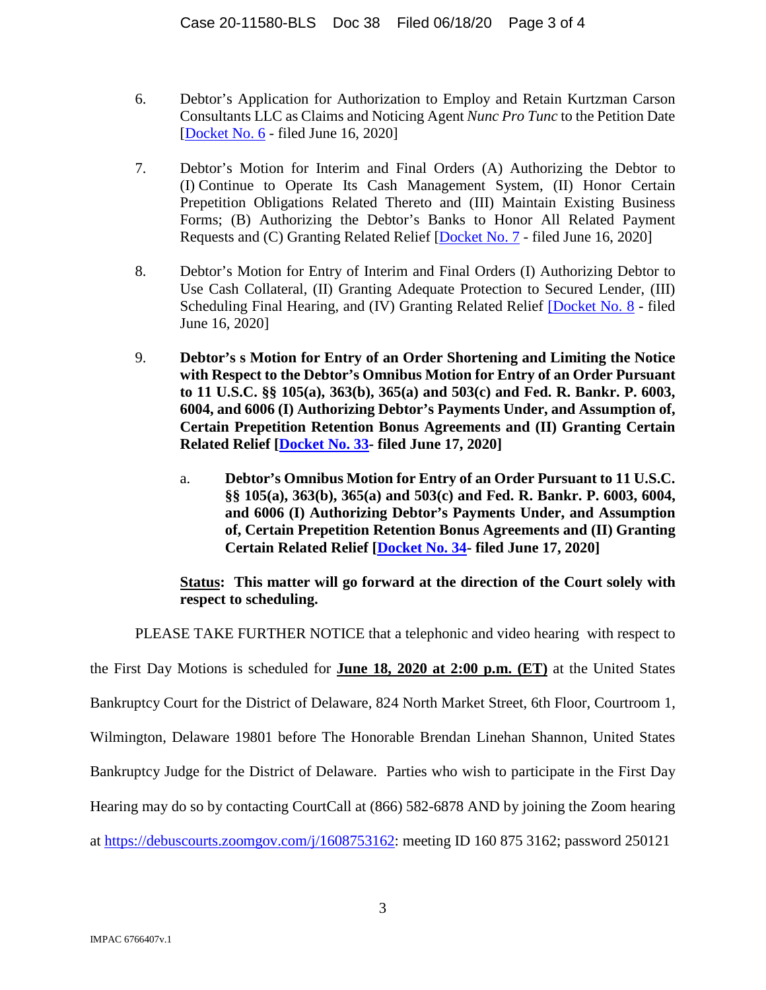- 6. Debtor's Application for Authorization to Employ and Retain Kurtzman Carson Consultants LLC as Claims and Noticing Agent *Nunc Pro Tunc* to the Petition Date [Docket No. 6 - filed June 16, 2020]
- 7. Debtor's Motion for Interim and Final Orders (A) Authorizing the Debtor to (I) Continue to Operate Its Cash Management System, (II) Honor Certain Prepetition Obligations Related Thereto and (III) Maintain Existing Business Forms; (B) Authorizing the Debtor's Banks to Honor All Related Payment Requests and (C) Granting Related Relief [Docket No. 7 - filed June 16, 2020]
- 8. Debtor's Motion for Entry of Interim and Final Orders (I) Authorizing Debtor to Use Cash Collateral, (II) Granting Adequate Protection to Secured Lender, (III) Scheduling Final Hearing, and (IV) Granting Related Relief [Docket No. 8 - filed June 16, 2020]
- 9. **Debtor's s Motion for Entry of an Order Shortening and Limiting the Notice with Respect to the Debtor's Omnibus Motion for Entry of an Order Pursuant to 11 U.S.C. §§ 105(a), 363(b), 365(a) and 503(c) and Fed. R. Bankr. P. 6003, 6004, and 6006 (I) Authorizing Debtor's Payments Under, and Assumption of, Certain Prepetition Retention Bonus Agreements and (II) Granting Certain Related Relief [Docket No. 33- filed June 17, 2020]** 
	- a. **Debtor's Omnibus Motion for Entry of an Order Pursuant to 11 U.S.C. §§ 105(a), 363(b), 365(a) and 503(c) and Fed. R. Bankr. P. 6003, 6004, and 6006 (I) Authorizing Debtor's Payments Under, and Assumption of, Certain Prepetition Retention Bonus Agreements and (II) Granting Certain Related Relief [Docket No. 34- filed June 17, 2020]**

## **Status: This matter will go forward at the direction of the Court solely with respect to scheduling.**

PLEASE TAKE FURTHER NOTICE that a telephonic and video hearing with respect to

the First Day Motions is scheduled for **June 18, 2020 at 2:00 p.m. (ET)** at the United States Bankruptcy Court for the District of Delaware, 824 North Market Street, 6th Floor, Courtroom 1, Wilmington, Delaware 19801 before The Honorable Brendan Linehan Shannon, United States Bankruptcy Judge for the District of Delaware. Parties who wish to participate in the First Day Hearing may do so by contacting CourtCall at (866) 582-6878 AND by joining the Zoom hearing

at https://debuscourts.zoomgov.com/j/1608753162: meeting ID 160 875 3162; password 250121